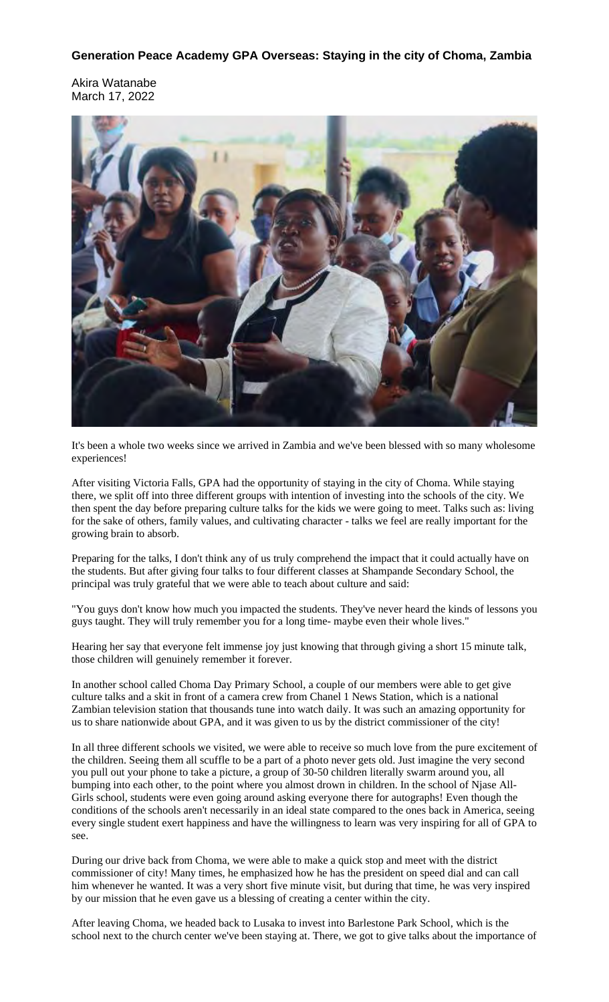## **Generation Peace Academy GPA Overseas: Staying in the city of Choma, Zambia**

Akira Watanabe March 17, 2022



It's been a whole two weeks since we arrived in Zambia and we've been blessed with so many wholesome experiences!

After visiting Victoria Falls, GPA had the opportunity of staying in the city of Choma. While staying there, we split off into three different groups with intention of investing into the schools of the city. We then spent the day before preparing culture talks for the kids we were going to meet. Talks such as: living for the sake of others, family values, and cultivating character - talks we feel are really important for the growing brain to absorb.

Preparing for the talks, I don't think any of us truly comprehend the impact that it could actually have on the students. But after giving four talks to four different classes at Shampande Secondary School, the principal was truly grateful that we were able to teach about culture and said:

"You guys don't know how much you impacted the students. They've never heard the kinds of lessons you guys taught. They will truly remember you for a long time- maybe even their whole lives."

Hearing her say that everyone felt immense joy just knowing that through giving a short 15 minute talk, those children will genuinely remember it forever.

In another school called Choma Day Primary School, a couple of our members were able to get give culture talks and a skit in front of a camera crew from Chanel 1 News Station, which is a national Zambian television station that thousands tune into watch daily. It was such an amazing opportunity for us to share nationwide about GPA, and it was given to us by the district commissioner of the city!

In all three different schools we visited, we were able to receive so much love from the pure excitement of the children. Seeing them all scuffle to be a part of a photo never gets old. Just imagine the very second you pull out your phone to take a picture, a group of 30-50 children literally swarm around you, all bumping into each other, to the point where you almost drown in children. In the school of Njase All-Girls school, students were even going around asking everyone there for autographs! Even though the conditions of the schools aren't necessarily in an ideal state compared to the ones back in America, seeing every single student exert happiness and have the willingness to learn was very inspiring for all of GPA to see.

During our drive back from Choma, we were able to make a quick stop and meet with the district commissioner of city! Many times, he emphasized how he has the president on speed dial and can call him whenever he wanted. It was a very short five minute visit, but during that time, he was very inspired by our mission that he even gave us a blessing of creating a center within the city.

After leaving Choma, we headed back to Lusaka to invest into Barlestone Park School, which is the school next to the church center we've been staying at. There, we got to give talks about the importance of